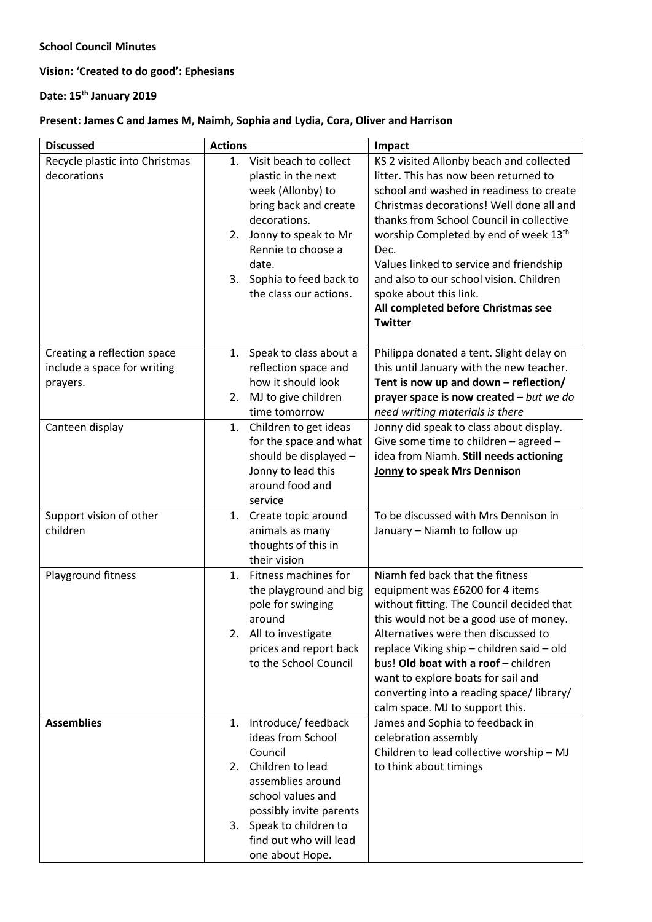## **School Council Minutes**

**Vision: 'Created to do good': Ephesians**

**Date: 15th January 2019**

## **Present: James C and James M, Naimh, Sophia and Lydia, Cora, Oliver and Harrison**

| <b>Discussed</b>                                                       | <b>Actions</b>                                                                                                                                                                                                                        | Impact                                                                                                                                                                                                                                                                                                                                                                                                                                                     |
|------------------------------------------------------------------------|---------------------------------------------------------------------------------------------------------------------------------------------------------------------------------------------------------------------------------------|------------------------------------------------------------------------------------------------------------------------------------------------------------------------------------------------------------------------------------------------------------------------------------------------------------------------------------------------------------------------------------------------------------------------------------------------------------|
| Recycle plastic into Christmas<br>decorations                          | 1. Visit beach to collect<br>plastic in the next<br>week (Allonby) to<br>bring back and create<br>decorations.<br>Jonny to speak to Mr<br>2.<br>Rennie to choose a<br>date.<br>Sophia to feed back to<br>3.<br>the class our actions. | KS 2 visited Allonby beach and collected<br>litter. This has now been returned to<br>school and washed in readiness to create<br>Christmas decorations! Well done all and<br>thanks from School Council in collective<br>worship Completed by end of week 13 <sup>th</sup><br>Dec.<br>Values linked to service and friendship<br>and also to our school vision. Children<br>spoke about this link.<br>All completed before Christmas see<br><b>Twitter</b> |
| Creating a reflection space<br>include a space for writing<br>prayers. | Speak to class about a<br>1.<br>reflection space and<br>how it should look<br>MJ to give children<br>2.<br>time tomorrow                                                                                                              | Philippa donated a tent. Slight delay on<br>this until January with the new teacher.<br>Tent is now up and down - reflection/<br>prayer space is now created $-but$ we do<br>need writing materials is there                                                                                                                                                                                                                                               |
| Canteen display                                                        | Children to get ideas<br>1.<br>for the space and what<br>should be displayed -<br>Jonny to lead this<br>around food and<br>service                                                                                                    | Jonny did speak to class about display.<br>Give some time to children - agreed -<br>idea from Niamh. Still needs actioning<br>Jonny to speak Mrs Dennison                                                                                                                                                                                                                                                                                                  |
| Support vision of other<br>children                                    | 1. Create topic around<br>animals as many<br>thoughts of this in<br>their vision                                                                                                                                                      | To be discussed with Mrs Dennison in<br>January - Niamh to follow up                                                                                                                                                                                                                                                                                                                                                                                       |
| Playground fitness                                                     | Fitness machines for<br>1 <sub>1</sub><br>the playground and big<br>pole for swinging<br>around<br>2. All to investigate<br>prices and report back<br>to the School Council                                                           | Niamh fed back that the fitness<br>equipment was £6200 for 4 items<br>without fitting. The Council decided that<br>this would not be a good use of money.<br>Alternatives were then discussed to<br>replace Viking ship - children said - old<br>bus! Old boat with a roof - children<br>want to explore boats for sail and<br>converting into a reading space/library/<br>calm space. MJ to support this.                                                 |
| <b>Assemblies</b>                                                      | Introduce/ feedback<br>1.<br>ideas from School<br>Council<br>Children to lead<br>2.<br>assemblies around<br>school values and<br>possibly invite parents<br>3. Speak to children to<br>find out who will lead<br>one about Hope.      | James and Sophia to feedback in<br>celebration assembly<br>Children to lead collective worship - MJ<br>to think about timings                                                                                                                                                                                                                                                                                                                              |